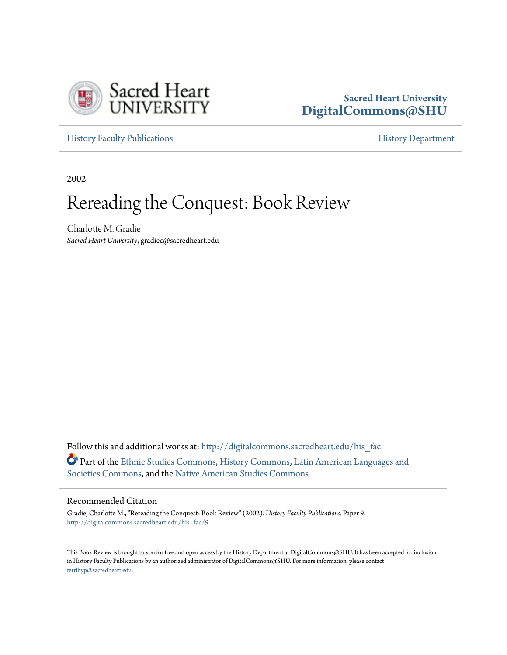

## **Sacred Heart University [DigitalCommons@SHU](http://digitalcommons.sacredheart.edu?utm_source=digitalcommons.sacredheart.edu%2Fhis_fac%2F9&utm_medium=PDF&utm_campaign=PDFCoverPages)**

[History Faculty Publications](http://digitalcommons.sacredheart.edu/his_fac?utm_source=digitalcommons.sacredheart.edu%2Fhis_fac%2F9&utm_medium=PDF&utm_campaign=PDFCoverPages) **[History Department](http://digitalcommons.sacredheart.edu/hist?utm_source=digitalcommons.sacredheart.edu%2Fhis_fac%2F9&utm_medium=PDF&utm_campaign=PDFCoverPages)** 

2002

## Rereading the Conquest: Book Review

Charlotte M. Gradie *Sacred Heart University*, gradiec@sacredheart.edu

Follow this and additional works at: http://digitalcommons.sacredheart.edu/his fac Part of the [Ethnic Studies Commons,](http://network.bepress.com/hgg/discipline/570?utm_source=digitalcommons.sacredheart.edu%2Fhis_fac%2F9&utm_medium=PDF&utm_campaign=PDFCoverPages) [History Commons](http://network.bepress.com/hgg/discipline/489?utm_source=digitalcommons.sacredheart.edu%2Fhis_fac%2F9&utm_medium=PDF&utm_campaign=PDFCoverPages), [Latin American Languages and](http://network.bepress.com/hgg/discipline/483?utm_source=digitalcommons.sacredheart.edu%2Fhis_fac%2F9&utm_medium=PDF&utm_campaign=PDFCoverPages) [Societies Commons](http://network.bepress.com/hgg/discipline/483?utm_source=digitalcommons.sacredheart.edu%2Fhis_fac%2F9&utm_medium=PDF&utm_campaign=PDFCoverPages), and the [Native American Studies Commons](http://network.bepress.com/hgg/discipline/571?utm_source=digitalcommons.sacredheart.edu%2Fhis_fac%2F9&utm_medium=PDF&utm_campaign=PDFCoverPages)

## Recommended Citation

Gradie, Charlotte M., "Rereading the Conquest: Book Review" (2002). *History Faculty Publications.* Paper 9. [http://digitalcommons.sacredheart.edu/his\\_fac/9](http://digitalcommons.sacredheart.edu/his_fac/9?utm_source=digitalcommons.sacredheart.edu%2Fhis_fac%2F9&utm_medium=PDF&utm_campaign=PDFCoverPages)

This Book Review is brought to you for free and open access by the History Department at DigitalCommons@SHU. It has been accepted for inclusion in History Faculty Publications by an authorized administrator of DigitalCommons@SHU. For more information, please contact [ferribyp@sacredheart.edu](mailto:ferribyp@sacredheart.edu).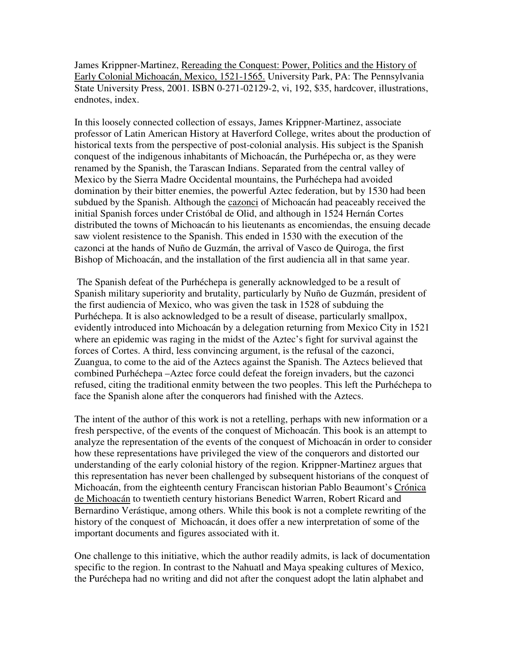James Krippner-Martinez, Rereading the Conquest: Power, Politics and the History of Early Colonial Michoacán, Mexico, 1521-1565. University Park, PA: The Pennsylvania State University Press, 2001. ISBN 0-271-02129-2, vi, 192, \$35, hardcover, illustrations, endnotes, index.

In this loosely connected collection of essays, James Krippner-Martinez, associate professor of Latin American History at Haverford College, writes about the production of historical texts from the perspective of post-colonial analysis. His subject is the Spanish conquest of the indigenous inhabitants of Michoacán, the Purhépecha or, as they were renamed by the Spanish, the Tarascan Indians. Separated from the central valley of Mexico by the Sierra Madre Occidental mountains, the Purhéchepa had avoided domination by their bitter enemies, the powerful Aztec federation, but by 1530 had been subdued by the Spanish. Although the cazonci of Michoacán had peaceably received the initial Spanish forces under Cristóbal de Olid, and although in 1524 Hernán Cortes distributed the towns of Michoacán to his lieutenants as encomiendas, the ensuing decade saw violent resistence to the Spanish. This ended in 1530 with the execution of the cazonci at the hands of Nuño de Guzmán, the arrival of Vasco de Quiroga, the first Bishop of Michoacán, and the installation of the first audiencia all in that same year.

 The Spanish defeat of the Purhéchepa is generally acknowledged to be a result of Spanish military superiority and brutality, particularly by Nuño de Guzmán, president of the first audiencia of Mexico, who was given the task in 1528 of subduing the Purhéchepa. It is also acknowledged to be a result of disease, particularly smallpox, evidently introduced into Michoacán by a delegation returning from Mexico City in 1521 where an epidemic was raging in the midst of the Aztec's fight for survival against the forces of Cortes. A third, less convincing argument, is the refusal of the cazonci, Zuangua, to come to the aid of the Aztecs against the Spanish. The Aztecs believed that combined Purhéchepa –Aztec force could defeat the foreign invaders, but the cazonci refused, citing the traditional enmity between the two peoples. This left the Purhéchepa to face the Spanish alone after the conquerors had finished with the Aztecs.

The intent of the author of this work is not a retelling, perhaps with new information or a fresh perspective, of the events of the conquest of Michoacán. This book is an attempt to analyze the representation of the events of the conquest of Michoacán in order to consider how these representations have privileged the view of the conquerors and distorted our understanding of the early colonial history of the region. Krippner-Martinez argues that this representation has never been challenged by subsequent historians of the conquest of Michoacán, from the eighteenth century Franciscan historian Pablo Beaumont's Crónica de Michoacán to twentieth century historians Benedict Warren, Robert Ricard and Bernardino Verástique, among others. While this book is not a complete rewriting of the history of the conquest of Michoacán, it does offer a new interpretation of some of the important documents and figures associated with it.

One challenge to this initiative, which the author readily admits, is lack of documentation specific to the region. In contrast to the Nahuatl and Maya speaking cultures of Mexico, the Puréchepa had no writing and did not after the conquest adopt the latin alphabet and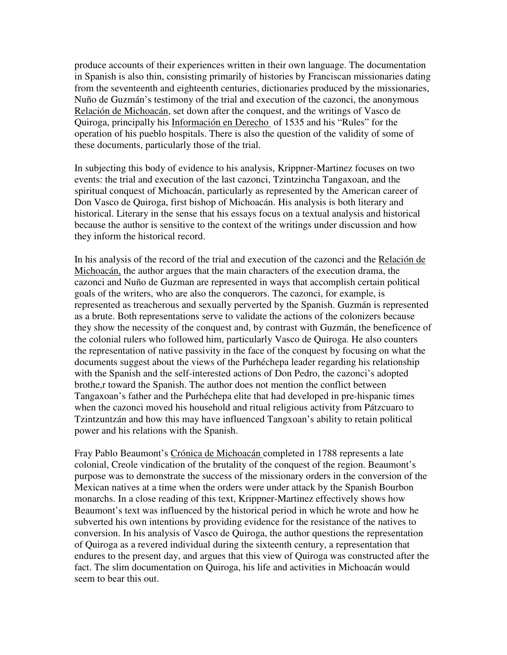produce accounts of their experiences written in their own language. The documentation in Spanish is also thin, consisting primarily of histories by Franciscan missionaries dating from the seventeenth and eighteenth centuries, dictionaries produced by the missionaries, Nuño de Guzmán's testimony of the trial and execution of the cazonci, the anonymous Relación de Michoacán, set down after the conquest, and the writings of Vasco de Quiroga, principally his Información en Derecho of 1535 and his "Rules" for the operation of his pueblo hospitals. There is also the question of the validity of some of these documents, particularly those of the trial.

In subjecting this body of evidence to his analysis, Krippner-Martinez focuses on two events: the trial and execution of the last cazonci, Tzintzincha Tangaxoan, and the spiritual conquest of Michoacán, particularly as represented by the American career of Don Vasco de Quiroga, first bishop of Michoacán. His analysis is both literary and historical. Literary in the sense that his essays focus on a textual analysis and historical because the author is sensitive to the context of the writings under discussion and how they inform the historical record.

In his analysis of the record of the trial and execution of the cazonci and the Relación de Michoacán, the author argues that the main characters of the execution drama, the cazonci and Nuño de Guzman are represented in ways that accomplish certain political goals of the writers, who are also the conquerors. The cazonci, for example, is represented as treacherous and sexually perverted by the Spanish. Guzmán is represented as a brute. Both representations serve to validate the actions of the colonizers because they show the necessity of the conquest and, by contrast with Guzmán, the beneficence of the colonial rulers who followed him, particularly Vasco de Quiroga. He also counters the representation of native passivity in the face of the conquest by focusing on what the documents suggest about the views of the Purhéchepa leader regarding his relationship with the Spanish and the self-interested actions of Don Pedro, the cazonci's adopted brothe,r toward the Spanish. The author does not mention the conflict between Tangaxoan's father and the Purhéchepa elite that had developed in pre-hispanic times when the cazonci moved his household and ritual religious activity from Pátzcuaro to Tzintzuntzán and how this may have influenced Tangxoan's ability to retain political power and his relations with the Spanish.

Fray Pablo Beaumont's Crónica de Michoacán completed in 1788 represents a late colonial, Creole vindication of the brutality of the conquest of the region. Beaumont's purpose was to demonstrate the success of the missionary orders in the conversion of the Mexican natives at a time when the orders were under attack by the Spanish Bourbon monarchs. In a close reading of this text, Krippner-Martinez effectively shows how Beaumont's text was influenced by the historical period in which he wrote and how he subverted his own intentions by providing evidence for the resistance of the natives to conversion. In his analysis of Vasco de Quiroga, the author questions the representation of Quiroga as a revered individual during the sixteenth century, a representation that endures to the present day, and argues that this view of Quiroga was constructed after the fact. The slim documentation on Quiroga, his life and activities in Michoacán would seem to bear this out.